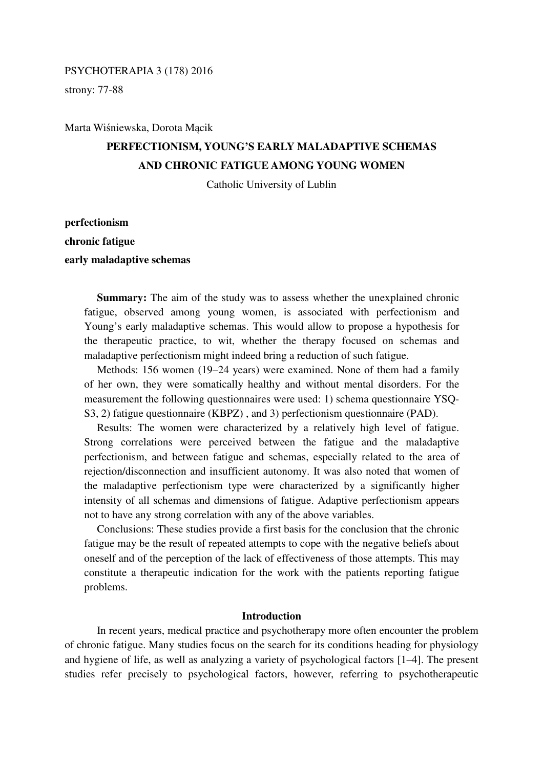## PSYCHOTERAPIA 3 (178) 2016

strony: 77-88

Marta Wiśniewska, Dorota Mącik

# **PERFECTIONISM, YOUNG'S EARLY MALADAPTIVE SCHEMAS AND CHRONIC FATIGUE AMONG YOUNG WOMEN**

Catholic University of Lublin

**perfectionism chronic fatigue early maladaptive schemas** 

> **Summary:** The aim of the study was to assess whether the unexplained chronic fatigue, observed among young women, is associated with perfectionism and Young's early maladaptive schemas. This would allow to propose a hypothesis for the therapeutic practice, to wit, whether the therapy focused on schemas and maladaptive perfectionism might indeed bring a reduction of such fatigue.

> Methods: 156 women (19–24 years) were examined. None of them had a family of her own, they were somatically healthy and without mental disorders. For the measurement the following questionnaires were used: 1) schema questionnaire YSQ-S3, 2) fatigue questionnaire (KBPZ) , and 3) perfectionism questionnaire (PAD).

> Results: The women were characterized by a relatively high level of fatigue. Strong correlations were perceived between the fatigue and the maladaptive perfectionism, and between fatigue and schemas, especially related to the area of rejection/disconnection and insufficient autonomy. It was also noted that women of the maladaptive perfectionism type were characterized by a significantly higher intensity of all schemas and dimensions of fatigue. Adaptive perfectionism appears not to have any strong correlation with any of the above variables.

> Conclusions: These studies provide a first basis for the conclusion that the chronic fatigue may be the result of repeated attempts to cope with the negative beliefs about oneself and of the perception of the lack of effectiveness of those attempts. This may constitute a therapeutic indication for the work with the patients reporting fatigue problems.

## **Introduction**

 In recent years, medical practice and psychotherapy more often encounter the problem of chronic fatigue. Many studies focus on the search for its conditions heading for physiology and hygiene of life, as well as analyzing a variety of psychological factors [1–4]. The present studies refer precisely to psychological factors, however, referring to psychotherapeutic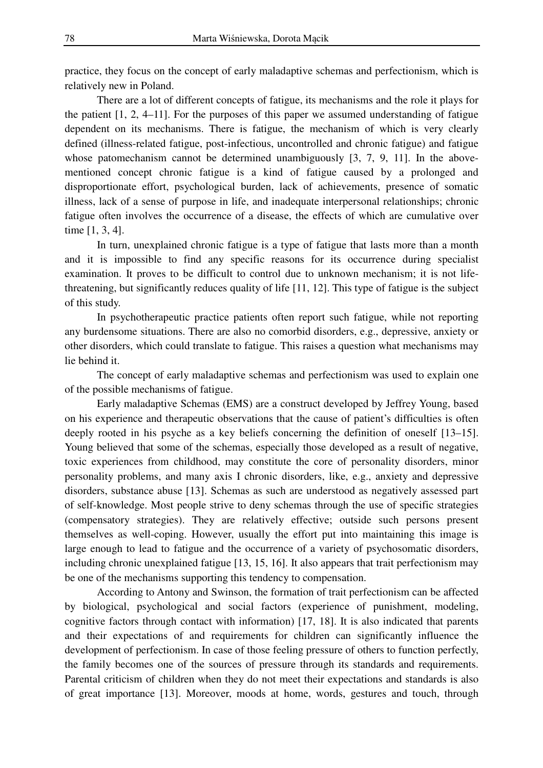practice, they focus on the concept of early maladaptive schemas and perfectionism, which is relatively new in Poland.

 There are a lot of different concepts of fatigue, its mechanisms and the role it plays for the patient [1, 2, 4–11]. For the purposes of this paper we assumed understanding of fatigue dependent on its mechanisms. There is fatigue, the mechanism of which is very clearly defined (illness-related fatigue, post-infectious, uncontrolled and chronic fatigue) and fatigue whose patomechanism cannot be determined unambiguously [3, 7, 9, 11]. In the abovementioned concept chronic fatigue is a kind of fatigue caused by a prolonged and disproportionate effort, psychological burden, lack of achievements, presence of somatic illness, lack of a sense of purpose in life, and inadequate interpersonal relationships; chronic fatigue often involves the occurrence of a disease, the effects of which are cumulative over time [1, 3, 4].

 In turn, unexplained chronic fatigue is a type of fatigue that lasts more than a month and it is impossible to find any specific reasons for its occurrence during specialist examination. It proves to be difficult to control due to unknown mechanism; it is not lifethreatening, but significantly reduces quality of life [11, 12]. This type of fatigue is the subject of this study.

 In psychotherapeutic practice patients often report such fatigue, while not reporting any burdensome situations. There are also no comorbid disorders, e.g., depressive, anxiety or other disorders, which could translate to fatigue. This raises a question what mechanisms may lie behind it.

 The concept of early maladaptive schemas and perfectionism was used to explain one of the possible mechanisms of fatigue.

 Early maladaptive Schemas (EMS) are a construct developed by Jeffrey Young, based on his experience and therapeutic observations that the cause of patient's difficulties is often deeply rooted in his psyche as a key beliefs concerning the definition of oneself [13–15]. Young believed that some of the schemas, especially those developed as a result of negative, toxic experiences from childhood, may constitute the core of personality disorders, minor personality problems, and many axis I chronic disorders, like, e.g., anxiety and depressive disorders, substance abuse [13]. Schemas as such are understood as negatively assessed part of self-knowledge. Most people strive to deny schemas through the use of specific strategies (compensatory strategies). They are relatively effective; outside such persons present themselves as well-coping. However, usually the effort put into maintaining this image is large enough to lead to fatigue and the occurrence of a variety of psychosomatic disorders, including chronic unexplained fatigue [13, 15, 16]. It also appears that trait perfectionism may be one of the mechanisms supporting this tendency to compensation.

 According to Antony and Swinson, the formation of trait perfectionism can be affected by biological, psychological and social factors (experience of punishment, modeling, cognitive factors through contact with information) [17, 18]. It is also indicated that parents and their expectations of and requirements for children can significantly influence the development of perfectionism. In case of those feeling pressure of others to function perfectly, the family becomes one of the sources of pressure through its standards and requirements. Parental criticism of children when they do not meet their expectations and standards is also of great importance [13]. Moreover, moods at home, words, gestures and touch, through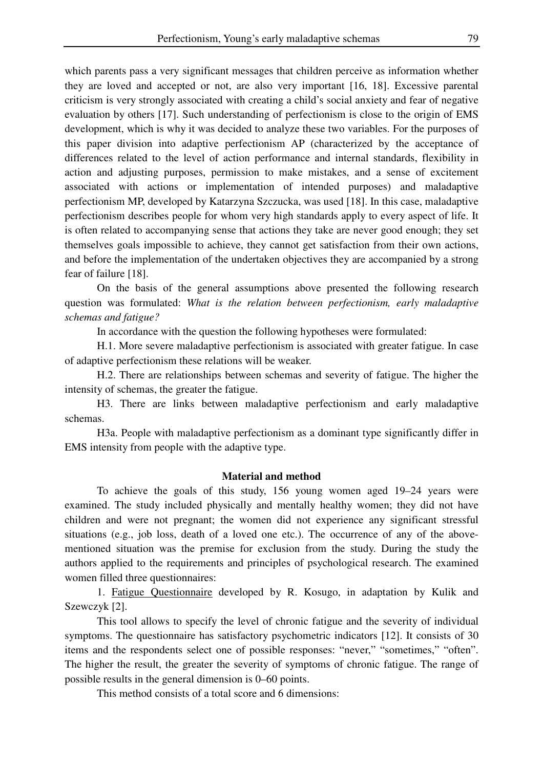which parents pass a very significant messages that children perceive as information whether they are loved and accepted or not, are also very important [16, 18]. Excessive parental criticism is very strongly associated with creating a child's social anxiety and fear of negative evaluation by others [17]. Such understanding of perfectionism is close to the origin of EMS development, which is why it was decided to analyze these two variables. For the purposes of this paper division into adaptive perfectionism AP (characterized by the acceptance of differences related to the level of action performance and internal standards, flexibility in action and adjusting purposes, permission to make mistakes, and a sense of excitement associated with actions or implementation of intended purposes) and maladaptive perfectionism MP, developed by Katarzyna Szczucka, was used [18]. In this case, maladaptive perfectionism describes people for whom very high standards apply to every aspect of life. It is often related to accompanying sense that actions they take are never good enough; they set themselves goals impossible to achieve, they cannot get satisfaction from their own actions, and before the implementation of the undertaken objectives they are accompanied by a strong fear of failure [18].

 On the basis of the general assumptions above presented the following research question was formulated: *What is the relation between perfectionism, early maladaptive schemas and fatigue?* 

In accordance with the question the following hypotheses were formulated:

 H.1. More severe maladaptive perfectionism is associated with greater fatigue. In case of adaptive perfectionism these relations will be weaker.

 H.2. There are relationships between schemas and severity of fatigue. The higher the intensity of schemas, the greater the fatigue.

 H3. There are links between maladaptive perfectionism and early maladaptive schemas.

 H3a. People with maladaptive perfectionism as a dominant type significantly differ in EMS intensity from people with the adaptive type.

## **Material and method**

 To achieve the goals of this study, 156 young women aged 19–24 years were examined. The study included physically and mentally healthy women; they did not have children and were not pregnant; the women did not experience any significant stressful situations (e.g., job loss, death of a loved one etc.). The occurrence of any of the abovementioned situation was the premise for exclusion from the study. During the study the authors applied to the requirements and principles of psychological research. The examined women filled three questionnaires:

 1. Fatigue Questionnaire developed by R. Kosugo, in adaptation by Kulik and Szewczyk [2].

 This tool allows to specify the level of chronic fatigue and the severity of individual symptoms. The questionnaire has satisfactory psychometric indicators [12]. It consists of 30 items and the respondents select one of possible responses: "never," "sometimes," "often". The higher the result, the greater the severity of symptoms of chronic fatigue. The range of possible results in the general dimension is 0–60 points.

This method consists of a total score and 6 dimensions: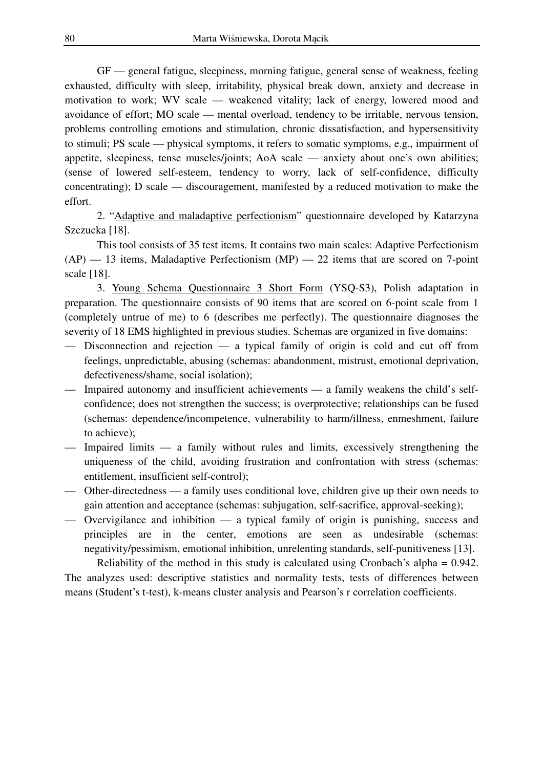GF — general fatigue, sleepiness, morning fatigue, general sense of weakness, feeling exhausted, difficulty with sleep, irritability, physical break down, anxiety and decrease in motivation to work; WV scale — weakened vitality; lack of energy, lowered mood and avoidance of effort; MO scale — mental overload, tendency to be irritable, nervous tension, problems controlling emotions and stimulation, chronic dissatisfaction, and hypersensitivity to stimuli; PS scale — physical symptoms, it refers to somatic symptoms, e.g., impairment of appetite, sleepiness, tense muscles/joints; AoA scale — anxiety about one's own abilities; (sense of lowered self-esteem, tendency to worry, lack of self-confidence, difficulty concentrating); D scale — discouragement, manifested by a reduced motivation to make the effort.

 2. "Adaptive and maladaptive perfectionism" questionnaire developed by Katarzyna Szczucka [18].

 This tool consists of 35 test items. It contains two main scales: Adaptive Perfectionism  $(AP)$  — 13 items, Maladaptive Perfectionism  $(MP)$  — 22 items that are scored on 7-point scale [18].

 3. Young Schema Questionnaire 3 Short Form (YSQ-S3), Polish adaptation in preparation. The questionnaire consists of 90 items that are scored on 6-point scale from 1 (completely untrue of me) to 6 (describes me perfectly). The questionnaire diagnoses the severity of 18 EMS highlighted in previous studies. Schemas are organized in five domains:

- Disconnection and rejection  $-$  a typical family of origin is cold and cut off from feelings, unpredictable, abusing (schemas: abandonment, mistrust, emotional deprivation, defectiveness/shame, social isolation);
- Impaired autonomy and insufficient achievements a family weakens the child's selfconfidence; does not strengthen the success; is overprotective; relationships can be fused (schemas: dependence/incompetence, vulnerability to harm/illness, enmeshment, failure to achieve);
- Impaired limits a family without rules and limits, excessively strengthening the uniqueness of the child, avoiding frustration and confrontation with stress (schemas: entitlement, insufficient self-control);
- Other-directedness a family uses conditional love, children give up their own needs to gain attention and acceptance (schemas: subjugation, self-sacrifice, approval-seeking);
- Overvigilance and inhibition a typical family of origin is punishing, success and principles are in the center, emotions are seen as undesirable (schemas: negativity/pessimism, emotional inhibition, unrelenting standards, self-punitiveness [13].

 Reliability of the method in this study is calculated using Cronbach's alpha = 0.942. The analyzes used: descriptive statistics and normality tests, tests of differences between means (Student's t-test), k-means cluster analysis and Pearson's r correlation coefficients.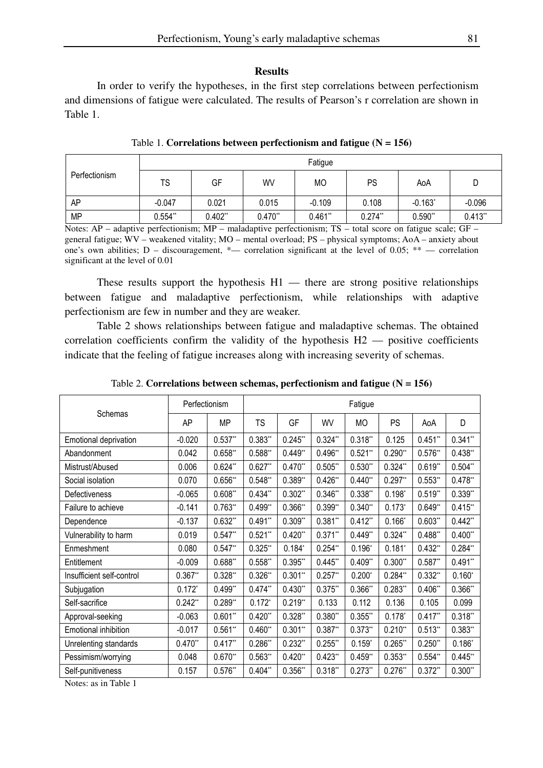#### **Results**

 In order to verify the hypotheses, in the first step correlations between perfectionism and dimensions of fatigue were calculated. The results of Pearson's r correlation are shown in Table 1.

| Perfectionism | Fatigue   |           |           |           |           |            |          |  |  |
|---------------|-----------|-----------|-----------|-----------|-----------|------------|----------|--|--|
|               | TS        | GF        | WV        | МO        | PS        | AoA        | D        |  |  |
| AP            | $-0.047$  | 0.021     | 0.015     | $-0.109$  | 0.108     | $-0.163$ * | $-0.096$ |  |  |
| <b>MP</b>     | $0.554**$ | $0.402**$ | $0.470**$ | $0.461**$ | $0.274**$ | 0.590"     | 0.413"   |  |  |

Table 1. **Correlations between perfectionism and fatigue (N = 156)** 

Notes: AP – adaptive perfectionism; MP – maladaptive perfectionism; TS – total score on fatigue scale; GF – general fatigue; WV – weakened vitality; MO – mental overload; PS – physical symptoms; AoA – anxiety about one's own abilities; D – discouragement,  $*$ — correlation significant at the level of 0.05;  $**$  — correlation significant at the level of 0*.*01

These results support the hypothesis  $H1$  — there are strong positive relationships between fatigue and maladaptive perfectionism, while relationships with adaptive perfectionism are few in number and they are weaker.

 Table 2 shows relationships between fatigue and maladaptive schemas. The obtained correlation coefficients confirm the validity of the hypothesis  $H2$  — positive coefficients indicate that the feeling of fatigue increases along with increasing severity of schemas.

|                           | Perfectionism |           | Fatigue   |           |            |           |           |           |           |
|---------------------------|---------------|-----------|-----------|-----------|------------|-----------|-----------|-----------|-----------|
| Schemas                   | AP            | <b>MP</b> | <b>TS</b> | GF        | WV         | MO        | <b>PS</b> | AoA       | D         |
| Emotional deprivation     | $-0.020$      | $0.537**$ | $0.383**$ | $0.245**$ | $0.324**$  | $0.318**$ | 0.125     | $0.451**$ | $0.341**$ |
| Abandonment               | 0.042         | $0.658**$ | $0.588**$ | $0.449**$ | $0.496**$  | $0.521**$ | $0.290**$ | $0.576**$ | $0.438**$ |
| Mistrust/Abused           | 0.006         | $0.624**$ | $0.627**$ | $0.470**$ | 0.505"     | $0.530**$ | $0.324**$ | $0.619**$ | $0.504**$ |
| Social isolation          | 0.070         | $0.656**$ | $0.548**$ | 0.389"    | $0.426**$  | $0.440**$ | $0.297**$ | $0.553**$ | $0.478**$ |
| Defectiveness             | $-0.065$      | $0.608**$ | $0.434**$ | $0.302**$ | $0.346**$  | $0.338**$ | $0.198*$  | $0.519**$ | $0.339**$ |
| Failure to achieve        | $-0.141$      | $0.763**$ | $0.499**$ | $0.366**$ | $0.399**$  | $0.340**$ | $0.173*$  | $0.649**$ | 0.415"    |
| Dependence                | $-0.137$      | $0.632**$ | $0.491**$ | $0.309**$ | $0.381**$  | $0.412**$ | $0.166*$  | 0.603"    | $0.442**$ |
| Vulnerability to harm     | 0.019         | $0.547**$ | $0.521**$ | $0.420**$ | $0.371**$  | $0.449**$ | $0.324**$ | $0.488**$ | $0.400**$ |
| Enmeshment                | 0.080         | $0.547**$ | $0.325**$ | $0.184*$  | $0.254**$  | $0.196*$  | $0.181*$  | $0.432**$ | $0.284**$ |
| Entitlement               | $-0.009$      | $0.688**$ | $0.558**$ | $0.395**$ | $0.445**$  | $0.409**$ | $0.300**$ | $0.587**$ | $0.491**$ |
| Insufficient self-control | $0.367**$     | $0.328**$ | $0.326**$ | $0.301**$ | $0.257$ ** | $0.200*$  | $0.284**$ | $0.332**$ | $0.160*$  |
| Subjugation               | $0.172*$      | $0.499**$ | $0.474**$ | $0.430**$ | $0.375**$  | $0.366**$ | $0.283**$ | $0.406**$ | 0.366"    |
| Self-sacrifice            | $0.242**$     | $0.289**$ | $0.172*$  | $0.219**$ | 0.133      | 0.112     | 0.136     | 0.105     | 0.099     |
| Approval-seeking          | $-0.063$      | $0.601**$ | $0.420**$ | $0.328**$ | $0.380**$  | $0.355**$ | $0.178*$  | $0.417**$ | $0.318**$ |
| Emotional inhibition      | $-0.017$      | $0.561**$ | $0.460**$ | $0.301**$ | $0.387**$  | $0.373**$ | $0.210**$ | $0.513**$ | $0.383**$ |
| Unrelenting standards     | $0.470**$     | $0.417**$ | $0.286**$ | $0.232**$ | $0.255$ ** | $0.159*$  | 0.265"    | $0.250**$ | $0.186*$  |
| Pessimism/worrying        | 0.048         | $0.670**$ | $0.563**$ | $0.420**$ | $0.423**$  | $0.459**$ | $0.353**$ | $0.554**$ | $0.445**$ |
| Self-punitiveness         | 0.157         | $0.576**$ | $0.404**$ | $0.356**$ | $0.318**$  | $0.273**$ | $0.276**$ | $0.372**$ | $0.300**$ |

Table 2. **Correlations between schemas, perfectionism and fatigue (N = 156)** 

Notes: as in Table 1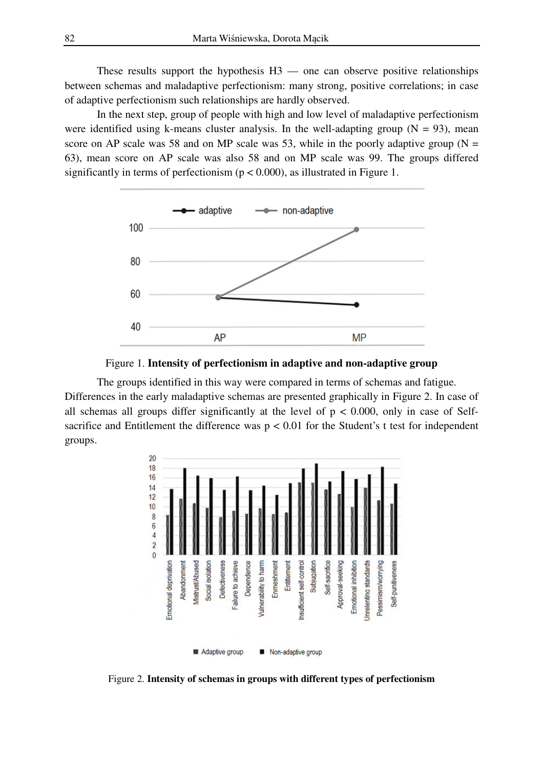These results support the hypothesis  $H3$  — one can observe positive relationships between schemas and maladaptive perfectionism: many strong, positive correlations; in case of adaptive perfectionism such relationships are hardly observed.

 In the next step, group of people with high and low level of maladaptive perfectionism were identified using k-means cluster analysis. In the well-adapting group  $(N = 93)$ , mean score on AP scale was 58 and on MP scale was 53, while in the poorly adaptive group ( $N =$ 63), mean score on AP scale was also 58 and on MP scale was 99. The groups differed significantly in terms of perfectionism ( $p < 0.000$ ), as illustrated in Figure 1.





 The groups identified in this way were compared in terms of schemas and fatigue. Differences in the early maladaptive schemas are presented graphically in Figure 2. In case of all schemas all groups differ significantly at the level of  $p < 0.000$ , only in case of Selfsacrifice and Entitlement the difference was  $p < 0.01$  for the Student's t test for independent groups.



Figure 2. **Intensity of schemas in groups with different types of perfectionism**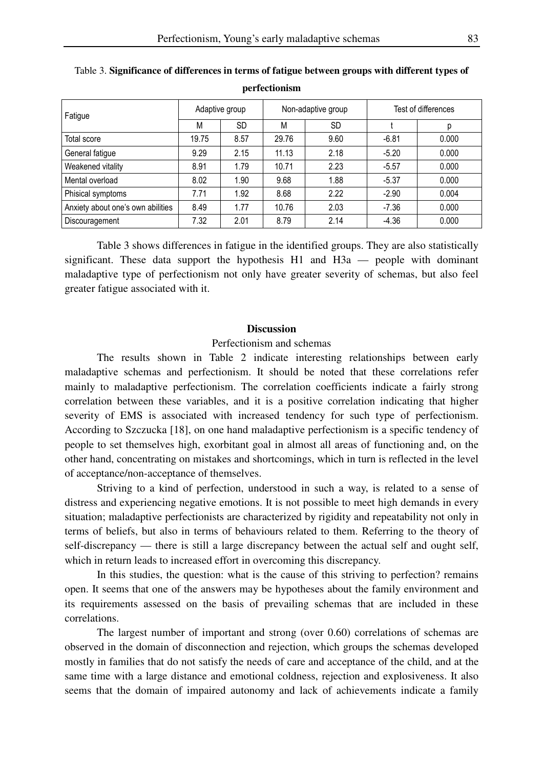| Fatigue                           | Adaptive group |           | Non-adaptive group |           | Test of differences |       |  |
|-----------------------------------|----------------|-----------|--------------------|-----------|---------------------|-------|--|
|                                   | M              | <b>SD</b> | М                  | <b>SD</b> |                     |       |  |
| Total score                       | 19.75          | 8.57      | 29.76              | 9.60      | $-6.81$             | 0.000 |  |
| General fatigue                   | 9.29           | 2.15      | 11.13              | 2.18      | $-5.20$             | 0.000 |  |
| Weakened vitality                 | 8.91           | 1.79      | 10.71              | 2.23      | $-5.57$             | 0.000 |  |
| Mental overload                   | 8.02           | 1.90      | 9.68               | 1.88      | $-5.37$             | 0.000 |  |
| Phisical symptoms                 | 7.71           | 1.92      | 8.68               | 2.22      | $-2.90$             | 0.004 |  |
| Anxiety about one's own abilities | 8.49           | 1.77      | 10.76              | 2.03      | $-7.36$             | 0.000 |  |
| Discouragement                    | 7.32           | 2.01      | 8.79               | 2.14      | $-4.36$             | 0.000 |  |

Table 3. **Significance of differences in terms of fatigue between groups with different types of perfectionism** 

 Table 3 shows differences in fatigue in the identified groups. They are also statistically significant. These data support the hypothesis H1 and H3a — people with dominant maladaptive type of perfectionism not only have greater severity of schemas, but also feel greater fatigue associated with it.

### **Discussion**

### Perfectionism and schemas

The results shown in Table 2 indicate interesting relationships between early maladaptive schemas and perfectionism. It should be noted that these correlations refer mainly to maladaptive perfectionism. The correlation coefficients indicate a fairly strong correlation between these variables, and it is a positive correlation indicating that higher severity of EMS is associated with increased tendency for such type of perfectionism. According to Szczucka [18], on one hand maladaptive perfectionism is a specific tendency of people to set themselves high, exorbitant goal in almost all areas of functioning and, on the other hand, concentrating on mistakes and shortcomings, which in turn is reflected in the level of acceptance/non-acceptance of themselves.

Striving to a kind of perfection, understood in such a way, is related to a sense of distress and experiencing negative emotions. It is not possible to meet high demands in every situation; maladaptive perfectionists are characterized by rigidity and repeatability not only in terms of beliefs, but also in terms of behaviours related to them. Referring to the theory of self-discrepancy — there is still a large discrepancy between the actual self and ought self, which in return leads to increased effort in overcoming this discrepancy.

In this studies, the question: what is the cause of this striving to perfection? remains open. It seems that one of the answers may be hypotheses about the family environment and its requirements assessed on the basis of prevailing schemas that are included in these correlations.

The largest number of important and strong (over 0.60) correlations of schemas are observed in the domain of disconnection and rejection, which groups the schemas developed mostly in families that do not satisfy the needs of care and acceptance of the child, and at the same time with a large distance and emotional coldness, rejection and explosiveness. It also seems that the domain of impaired autonomy and lack of achievements indicate a family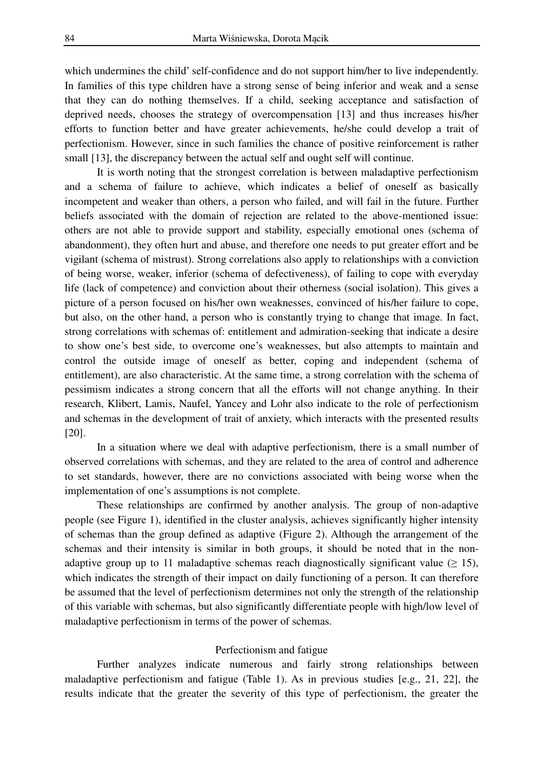which undermines the child' self-confidence and do not support him/her to live independently. In families of this type children have a strong sense of being inferior and weak and a sense that they can do nothing themselves. If a child, seeking acceptance and satisfaction of deprived needs, chooses the strategy of overcompensation [13] and thus increases his/her efforts to function better and have greater achievements, he/she could develop a trait of perfectionism. However, since in such families the chance of positive reinforcement is rather small [13], the discrepancy between the actual self and ought self will continue.

It is worth noting that the strongest correlation is between maladaptive perfectionism and a schema of failure to achieve, which indicates a belief of oneself as basically incompetent and weaker than others, a person who failed, and will fail in the future. Further beliefs associated with the domain of rejection are related to the above-mentioned issue: others are not able to provide support and stability, especially emotional ones (schema of abandonment), they often hurt and abuse, and therefore one needs to put greater effort and be vigilant (schema of mistrust). Strong correlations also apply to relationships with a conviction of being worse, weaker, inferior (schema of defectiveness), of failing to cope with everyday life (lack of competence) and conviction about their otherness (social isolation). This gives a picture of a person focused on his/her own weaknesses, convinced of his/her failure to cope, but also, on the other hand, a person who is constantly trying to change that image. In fact, strong correlations with schemas of: entitlement and admiration-seeking that indicate a desire to show one's best side, to overcome one's weaknesses, but also attempts to maintain and control the outside image of oneself as better, coping and independent (schema of entitlement), are also characteristic. At the same time, a strong correlation with the schema of pessimism indicates a strong concern that all the efforts will not change anything. In their research, Klibert, Lamis, Naufel, Yancey and Lohr also indicate to the role of perfectionism and schemas in the development of trait of anxiety, which interacts with the presented results [20].

In a situation where we deal with adaptive perfectionism, there is a small number of observed correlations with schemas, and they are related to the area of control and adherence to set standards, however, there are no convictions associated with being worse when the implementation of one's assumptions is not complete.

These relationships are confirmed by another analysis. The group of non-adaptive people (see Figure 1), identified in the cluster analysis, achieves significantly higher intensity of schemas than the group defined as adaptive (Figure 2). Although the arrangement of the schemas and their intensity is similar in both groups, it should be noted that in the nonadaptive group up to 11 maladaptive schemas reach diagnostically significant value ( $\geq$  15), which indicates the strength of their impact on daily functioning of a person. It can therefore be assumed that the level of perfectionism determines not only the strength of the relationship of this variable with schemas, but also significantly differentiate people with high/low level of maladaptive perfectionism in terms of the power of schemas.

#### Perfectionism and fatigue

Further analyzes indicate numerous and fairly strong relationships between maladaptive perfectionism and fatigue (Table 1). As in previous studies [e.g., 21, 22], the results indicate that the greater the severity of this type of perfectionism, the greater the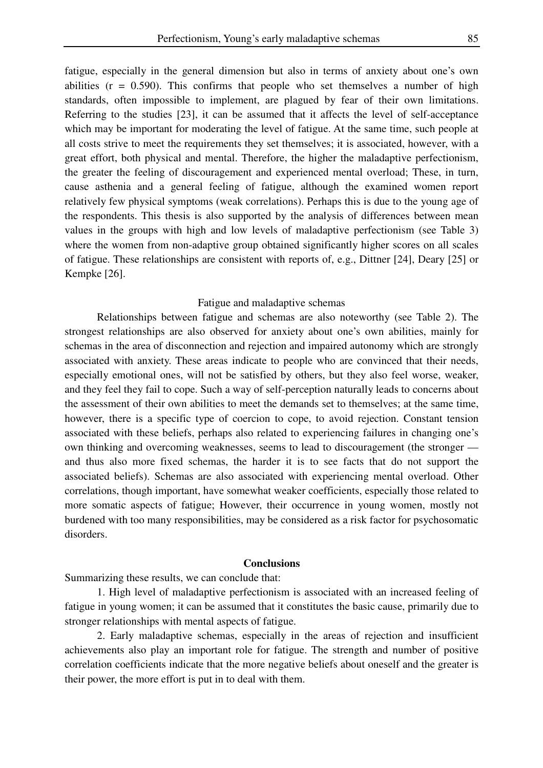fatigue, especially in the general dimension but also in terms of anxiety about one's own abilities  $(r = 0.590)$ . This confirms that people who set themselves a number of high standards, often impossible to implement, are plagued by fear of their own limitations. Referring to the studies [23], it can be assumed that it affects the level of self-acceptance which may be important for moderating the level of fatigue. At the same time, such people at all costs strive to meet the requirements they set themselves; it is associated, however, with a great effort, both physical and mental. Therefore, the higher the maladaptive perfectionism, the greater the feeling of discouragement and experienced mental overload; These, in turn, cause asthenia and a general feeling of fatigue, although the examined women report relatively few physical symptoms (weak correlations). Perhaps this is due to the young age of the respondents. This thesis is also supported by the analysis of differences between mean values in the groups with high and low levels of maladaptive perfectionism (see Table 3) where the women from non-adaptive group obtained significantly higher scores on all scales of fatigue. These relationships are consistent with reports of, e.g., Dittner [24], Deary [25] or Kempke [26].

#### Fatigue and maladaptive schemas

Relationships between fatigue and schemas are also noteworthy (see Table 2). The strongest relationships are also observed for anxiety about one's own abilities, mainly for schemas in the area of disconnection and rejection and impaired autonomy which are strongly associated with anxiety. These areas indicate to people who are convinced that their needs, especially emotional ones, will not be satisfied by others, but they also feel worse, weaker, and they feel they fail to cope. Such a way of self-perception naturally leads to concerns about the assessment of their own abilities to meet the demands set to themselves; at the same time, however, there is a specific type of coercion to cope, to avoid rejection. Constant tension associated with these beliefs, perhaps also related to experiencing failures in changing one's own thinking and overcoming weaknesses, seems to lead to discouragement (the stronger and thus also more fixed schemas, the harder it is to see facts that do not support the associated beliefs). Schemas are also associated with experiencing mental overload. Other correlations, though important, have somewhat weaker coefficients, especially those related to more somatic aspects of fatigue; However, their occurrence in young women, mostly not burdened with too many responsibilities, may be considered as a risk factor for psychosomatic disorders.

#### **Conclusions**

Summarizing these results, we can conclude that:

 1. High level of maladaptive perfectionism is associated with an increased feeling of fatigue in young women; it can be assumed that it constitutes the basic cause, primarily due to stronger relationships with mental aspects of fatigue.

 2. Early maladaptive schemas, especially in the areas of rejection and insufficient achievements also play an important role for fatigue. The strength and number of positive correlation coefficients indicate that the more negative beliefs about oneself and the greater is their power, the more effort is put in to deal with them.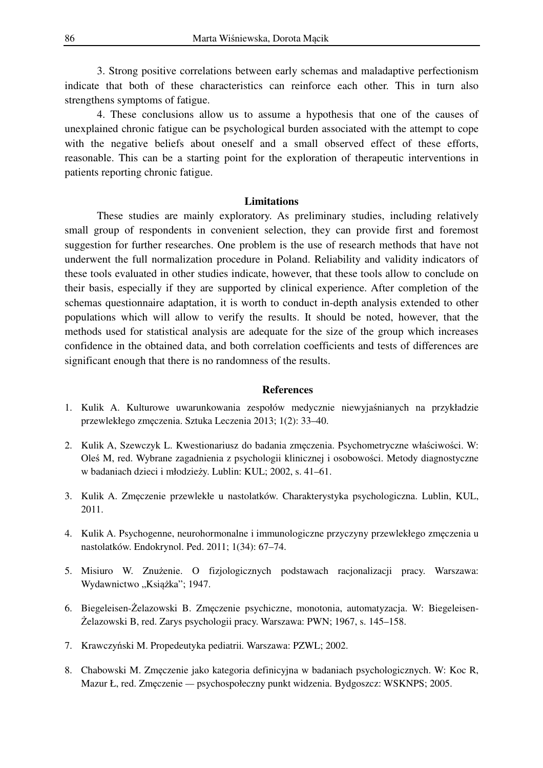3. Strong positive correlations between early schemas and maladaptive perfectionism indicate that both of these characteristics can reinforce each other. This in turn also strengthens symptoms of fatigue.

 4. These conclusions allow us to assume a hypothesis that one of the causes of unexplained chronic fatigue can be psychological burden associated with the attempt to cope with the negative beliefs about oneself and a small observed effect of these efforts, reasonable. This can be a starting point for the exploration of therapeutic interventions in patients reporting chronic fatigue.

#### **Limitations**

These studies are mainly exploratory. As preliminary studies, including relatively small group of respondents in convenient selection, they can provide first and foremost suggestion for further researches. One problem is the use of research methods that have not underwent the full normalization procedure in Poland. Reliability and validity indicators of these tools evaluated in other studies indicate, however, that these tools allow to conclude on their basis, especially if they are supported by clinical experience. After completion of the schemas questionnaire adaptation, it is worth to conduct in-depth analysis extended to other populations which will allow to verify the results. It should be noted, however, that the methods used for statistical analysis are adequate for the size of the group which increases confidence in the obtained data, and both correlation coefficients and tests of differences are significant enough that there is no randomness of the results.

#### **References**

- 1. Kulik A. Kulturowe uwarunkowania zespołów medycznie niewyjaśnianych na przykładzie przewlekłego zmęczenia. Sztuka Leczenia 2013; 1(2): 33–40.
- 2. Kulik A, Szewczyk L. Kwestionariusz do badania zmęczenia. Psychometryczne właściwości. W: Oleś M, red. Wybrane zagadnienia z psychologii klinicznej i osobowości. Metody diagnostyczne w badaniach dzieci i młodzieży. Lublin: KUL; 2002, s. 41–61.
- 3. Kulik A. Zmęczenie przewlekłe u nastolatków. Charakterystyka psychologiczna. Lublin, KUL, 2011.
- 4. Kulik A. Psychogenne, neurohormonalne i immunologiczne przyczyny przewlekłego zmęczenia u nastolatków. Endokrynol. Ped. 2011; 1(34): 67–74.
- 5. Misiuro W. Znużenie. O fizjologicznych podstawach racjonalizacji pracy. Warszawa: Wydawnictwo "Książka"; 1947.
- 6. Biegeleisen-Żelazowski B. Zmęczenie psychiczne, monotonia, automatyzacja. W: Biegeleisen-Żelazowski B, red. Zarys psychologii pracy. Warszawa: PWN; 1967, s. 145–158.
- 7. Krawczyński M. Propedeutyka pediatrii*.* Warszawa: PZWL; 2002.
- 8. Chabowski M. Zmęczenie jako kategoria definicyjna w badaniach psychologicznych. W: Koc R, Mazur Ł, red. Zmęczenie *—* psychospołeczny punkt widzenia. Bydgoszcz: WSKNPS; 2005.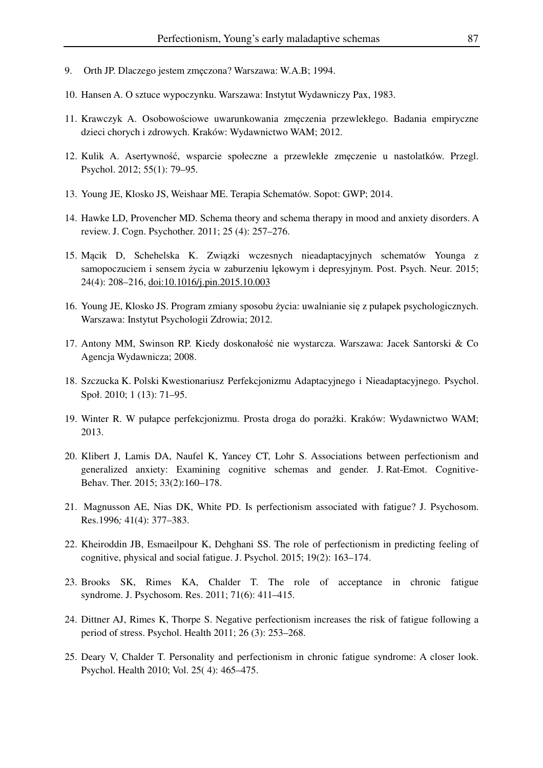- 9. Orth JP. Dlaczego jestem zmęczona? Warszawa: W.A.B; 1994.
- 10. Hansen A. O sztuce wypoczynku. Warszawa: Instytut Wydawniczy Pax, 1983.
- 11. Krawczyk A. Osobowościowe uwarunkowania zmęczenia przewlekłego. Badania empiryczne dzieci chorych i zdrowych. Kraków: Wydawnictwo WAM; 2012.
- 12. Kulik A. Asertywność, wsparcie społeczne a przewlekłe zmęczenie u nastolatków. Przegl. Psychol. 2012; 55(1): 79–95.
- 13. Young JE, Klosko JS, Weishaar ME. Terapia Schematów. Sopot: GWP; 2014.
- 14. Hawke LD, Provencher MD. Schema theory and schema therapy in mood and anxiety disorders. A review. J. Cogn. Psychother. 2011; 25 (4): 257–276.
- 15. Mącik D, Schehelska K. Związki wczesnych nieadaptacyjnych schematów Younga z samopoczuciem i sensem życia w zaburzeniu lękowym i depresyjnym. Post. Psych. Neur. 2015; 24(4): 208–216, doi:10.1016/j.pin.2015.10.003
- 16. Young JE, Klosko JS. Program zmiany sposobu życia: uwalnianie się z pułapek psychologicznych. Warszawa: Instytut Psychologii Zdrowia; 2012.
- 17. Antony MM, Swinson RP. Kiedy doskonałość nie wystarcza. Warszawa: Jacek Santorski & Co Agencja Wydawnicza; 2008.
- 18. Szczucka K. Polski Kwestionariusz Perfekcjonizmu Adaptacyjnego i Nieadaptacyjnego. Psychol. Społ. 2010; 1 (13): 71–95.
- 19. Winter R. W pułapce perfekcjonizmu. Prosta droga do porażki. Kraków: Wydawnictwo WAM; 2013.
- 20. Klibert J, Lamis DA, Naufel K, Yancey CT, Lohr S. Associations between perfectionism and generalized anxiety: Examining cognitive schemas and gender. J. Rat-Emot. Cognitive-Behav. Ther. 2015; 33(2):160–178.
- 21. Magnusson AE, Nias DK, White PD. Is perfectionism associated with fatigue? J. Psychosom. Res.1996*;* 41(4): 377–383.
- 22. Kheiroddin JB, Esmaeilpour K, Dehghani SS. The role of perfectionism in predicting feeling of cognitive, physical and social fatigue. J. Psychol. 2015; 19(2): 163–174.
- 23. Brooks SK, Rimes KA, Chalder T. The role of acceptance in chronic fatigue syndrome. J. Psychosom. Res. 2011; 71(6): 411–415.
- 24. Dittner AJ, Rimes K, Thorpe S. Negative perfectionism increases the risk of fatigue following a period of stress. Psychol. Health 2011; 26 (3): 253–268.
- 25. Deary V, Chalder T. Personality and perfectionism in chronic fatigue syndrome: A closer look. Psychol. Health 2010; Vol. 25( 4): 465–475.